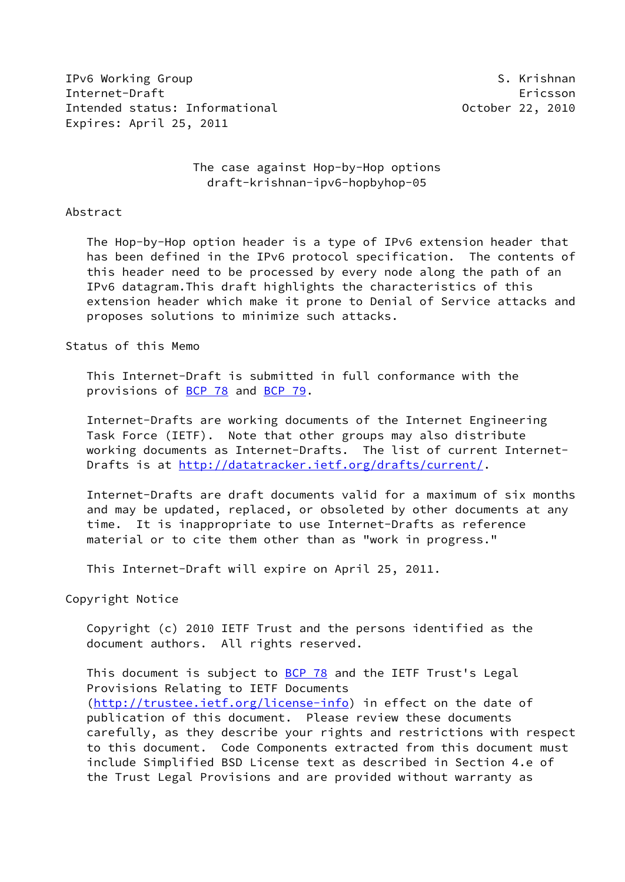IPv6 Working Group S. Krishnan S. Krishnan S. Krishnan S. Krishnan S. S. Krishnan S. S. Krishnan S. S. Krishnan Internet-Draft Ericsson Intended status: Informational and the Communication of October 22, 2010 Expires: April 25, 2011

 The case against Hop-by-Hop options draft-krishnan-ipv6-hopbyhop-05

#### Abstract

 The Hop-by-Hop option header is a type of IPv6 extension header that has been defined in the IPv6 protocol specification. The contents of this header need to be processed by every node along the path of an IPv6 datagram.This draft highlights the characteristics of this extension header which make it prone to Denial of Service attacks and proposes solutions to minimize such attacks.

## Status of this Memo

 This Internet-Draft is submitted in full conformance with the provisions of [BCP 78](https://datatracker.ietf.org/doc/pdf/bcp78) and [BCP 79](https://datatracker.ietf.org/doc/pdf/bcp79).

 Internet-Drafts are working documents of the Internet Engineering Task Force (IETF). Note that other groups may also distribute working documents as Internet-Drafts. The list of current Internet Drafts is at<http://datatracker.ietf.org/drafts/current/>.

 Internet-Drafts are draft documents valid for a maximum of six months and may be updated, replaced, or obsoleted by other documents at any time. It is inappropriate to use Internet-Drafts as reference material or to cite them other than as "work in progress."

This Internet-Draft will expire on April 25, 2011.

Copyright Notice

 Copyright (c) 2010 IETF Trust and the persons identified as the document authors. All rights reserved.

This document is subject to **[BCP 78](https://datatracker.ietf.org/doc/pdf/bcp78)** and the IETF Trust's Legal Provisions Relating to IETF Documents [\(http://trustee.ietf.org/license-info](http://trustee.ietf.org/license-info)) in effect on the date of publication of this document. Please review these documents carefully, as they describe your rights and restrictions with respect to this document. Code Components extracted from this document must include Simplified BSD License text as described in Section 4.e of the Trust Legal Provisions and are provided without warranty as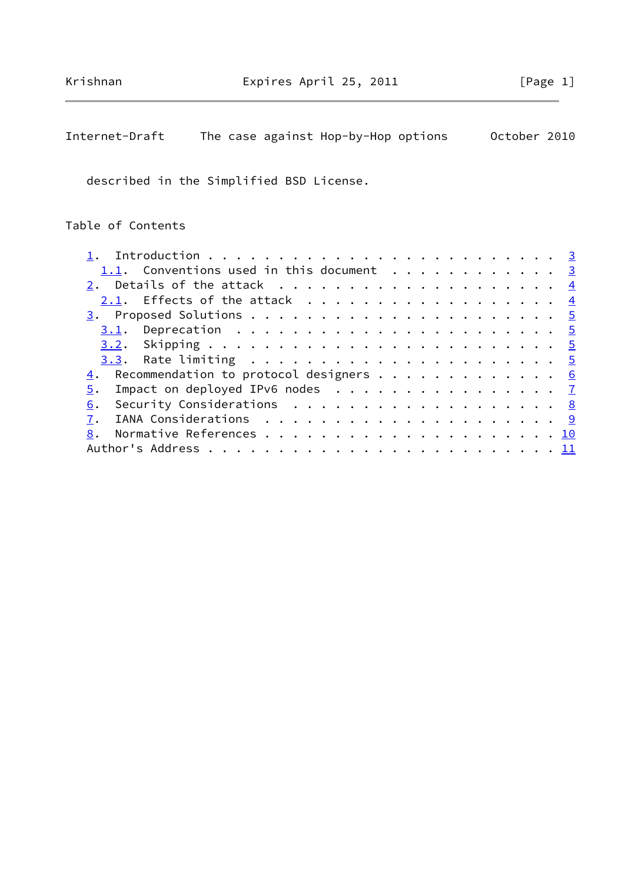# Internet-Draft The case against Hop-by-Hop options October 2010

described in the Simplified BSD License.

# Table of Contents

| 1.1. Conventions used in this document 3        |  |
|-------------------------------------------------|--|
|                                                 |  |
| 2.1. Effects of the attack $\frac{4}{5}$        |  |
|                                                 |  |
|                                                 |  |
|                                                 |  |
|                                                 |  |
| 4. Recommendation to protocol designers 6       |  |
| $\frac{5}{2}$ . Impact on deployed IPv6 nodes 7 |  |
| 6. Security Considerations 8                    |  |
|                                                 |  |
|                                                 |  |
|                                                 |  |
|                                                 |  |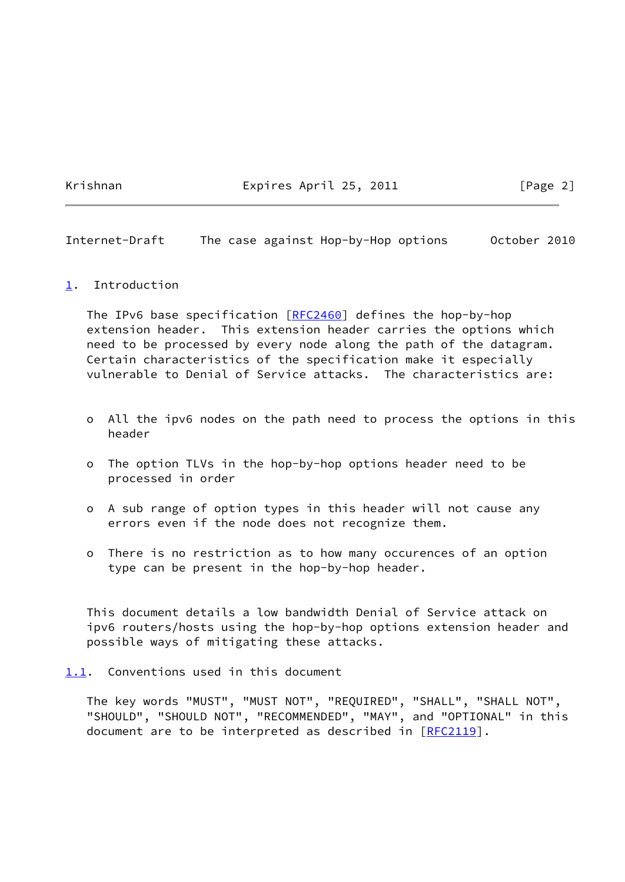Krishnan Expires April 25, 2011 [Page 2]

<span id="page-2-1"></span>Internet-Draft The case against Hop-by-Hop options October 2010

<span id="page-2-0"></span>[1](#page-2-0). Introduction

The IPv6 base specification [\[RFC2460](https://datatracker.ietf.org/doc/pdf/rfc2460)] defines the hop-by-hop extension header. This extension header carries the options which need to be processed by every node along the path of the datagram. Certain characteristics of the specification make it especially vulnerable to Denial of Service attacks. The characteristics are:

- o All the ipv6 nodes on the path need to process the options in this header
- o The option TLVs in the hop-by-hop options header need to be processed in order
- o A sub range of option types in this header will not cause any errors even if the node does not recognize them.
- o There is no restriction as to how many occurences of an option type can be present in the hop-by-hop header.

 This document details a low bandwidth Denial of Service attack on ipv6 routers/hosts using the hop-by-hop options extension header and possible ways of mitigating these attacks.

<span id="page-2-2"></span>[1.1](#page-2-2). Conventions used in this document

 The key words "MUST", "MUST NOT", "REQUIRED", "SHALL", "SHALL NOT", "SHOULD", "SHOULD NOT", "RECOMMENDED", "MAY", and "OPTIONAL" in this document are to be interpreted as described in [\[RFC2119](https://datatracker.ietf.org/doc/pdf/rfc2119)].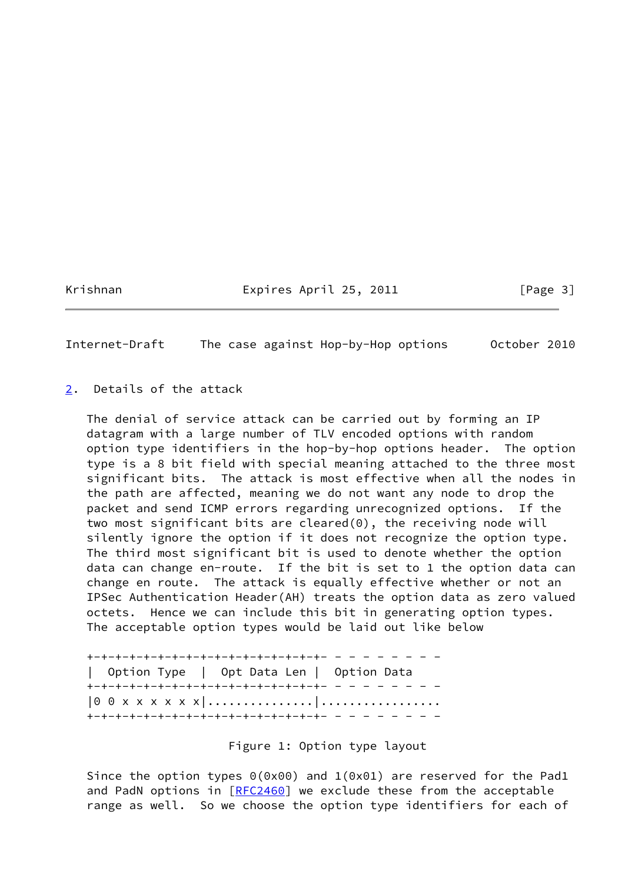Krishnan Expires April 25, 2011 [Page 3]

<span id="page-3-1"></span>Internet-Draft The case against Hop-by-Hop options October 2010

<span id="page-3-0"></span>[2](#page-3-0). Details of the attack

 The denial of service attack can be carried out by forming an IP datagram with a large number of TLV encoded options with random option type identifiers in the hop-by-hop options header. The option type is a 8 bit field with special meaning attached to the three most significant bits. The attack is most effective when all the nodes in the path are affected, meaning we do not want any node to drop the packet and send ICMP errors regarding unrecognized options. If the two most significant bits are cleared(0), the receiving node will silently ignore the option if it does not recognize the option type. The third most significant bit is used to denote whether the option data can change en-route. If the bit is set to 1 the option data can change en route. The attack is equally effective whether or not an IPSec Authentication Header(AH) treats the option data as zero valued octets. Hence we can include this bit in generating option types. The acceptable option types would be laid out like below

 +-+-+-+-+-+-+-+-+-+-+-+-+-+-+-+-+- - - - - - - - - | Option Type | Opt Data Len | Option Data +-+-+-+-+-+-+-+-+-+-+-+-+-+-+-+-+- - - - - - - - - |0 0 x x x x x x|...............|................. +-+-+-+-+-+-+-+-+-+-+-+-+-+-+-+-+- - - - - - - - -

Figure 1: Option type layout

Since the option types 0(0x00) and 1(0x01) are reserved for the Pad1 and PadN options in [\[RFC2460](https://datatracker.ietf.org/doc/pdf/rfc2460)] we exclude these from the acceptable range as well. So we choose the option type identifiers for each of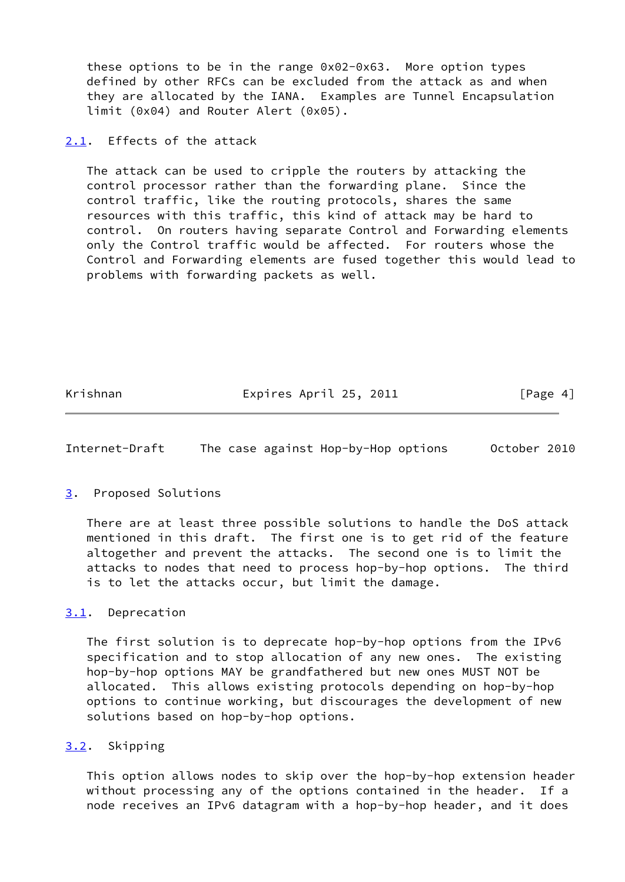these options to be in the range 0x02-0x63. More option types defined by other RFCs can be excluded from the attack as and when they are allocated by the IANA. Examples are Tunnel Encapsulation limit (0x04) and Router Alert (0x05).

<span id="page-4-0"></span>[2.1](#page-4-0). Effects of the attack

 The attack can be used to cripple the routers by attacking the control processor rather than the forwarding plane. Since the control traffic, like the routing protocols, shares the same resources with this traffic, this kind of attack may be hard to control. On routers having separate Control and Forwarding elements only the Control traffic would be affected. For routers whose the Control and Forwarding elements are fused together this would lead to problems with forwarding packets as well.

Krishnan Expires April 25, 2011 [Page 4]

<span id="page-4-2"></span>Internet-Draft The case against Hop-by-Hop options October 2010

### <span id="page-4-1"></span>[3](#page-4-1). Proposed Solutions

 There are at least three possible solutions to handle the DoS attack mentioned in this draft. The first one is to get rid of the feature altogether and prevent the attacks. The second one is to limit the attacks to nodes that need to process hop-by-hop options. The third is to let the attacks occur, but limit the damage.

### <span id="page-4-3"></span>[3.1](#page-4-3). Deprecation

 The first solution is to deprecate hop-by-hop options from the IPv6 specification and to stop allocation of any new ones. The existing hop-by-hop options MAY be grandfathered but new ones MUST NOT be allocated. This allows existing protocols depending on hop-by-hop options to continue working, but discourages the development of new solutions based on hop-by-hop options.

## <span id="page-4-4"></span>[3.2](#page-4-4). Skipping

 This option allows nodes to skip over the hop-by-hop extension header without processing any of the options contained in the header. If a node receives an IPv6 datagram with a hop-by-hop header, and it does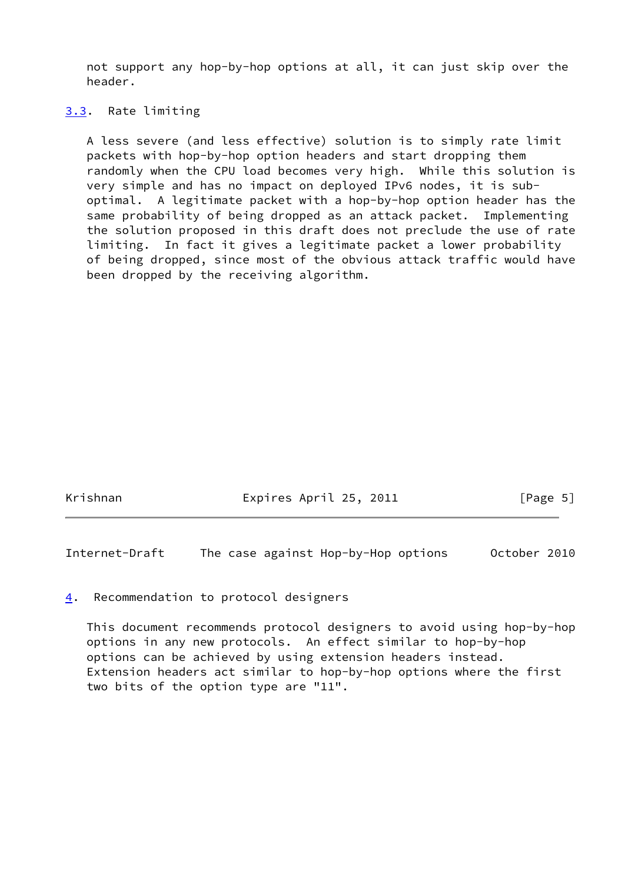not support any hop-by-hop options at all, it can just skip over the header.

#### <span id="page-5-0"></span>[3.3](#page-5-0). Rate limiting

 A less severe (and less effective) solution is to simply rate limit packets with hop-by-hop option headers and start dropping them randomly when the CPU load becomes very high. While this solution is very simple and has no impact on deployed IPv6 nodes, it is sub optimal. A legitimate packet with a hop-by-hop option header has the same probability of being dropped as an attack packet. Implementing the solution proposed in this draft does not preclude the use of rate limiting. In fact it gives a legitimate packet a lower probability of being dropped, since most of the obvious attack traffic would have been dropped by the receiving algorithm.

Krishnan Expires April 25, 2011 [Page 5]

<span id="page-5-2"></span>Internet-Draft The case against Hop-by-Hop options October 2010

#### <span id="page-5-1"></span>[4](#page-5-1). Recommendation to protocol designers

 This document recommends protocol designers to avoid using hop-by-hop options in any new protocols. An effect similar to hop-by-hop options can be achieved by using extension headers instead. Extension headers act similar to hop-by-hop options where the first two bits of the option type are "11".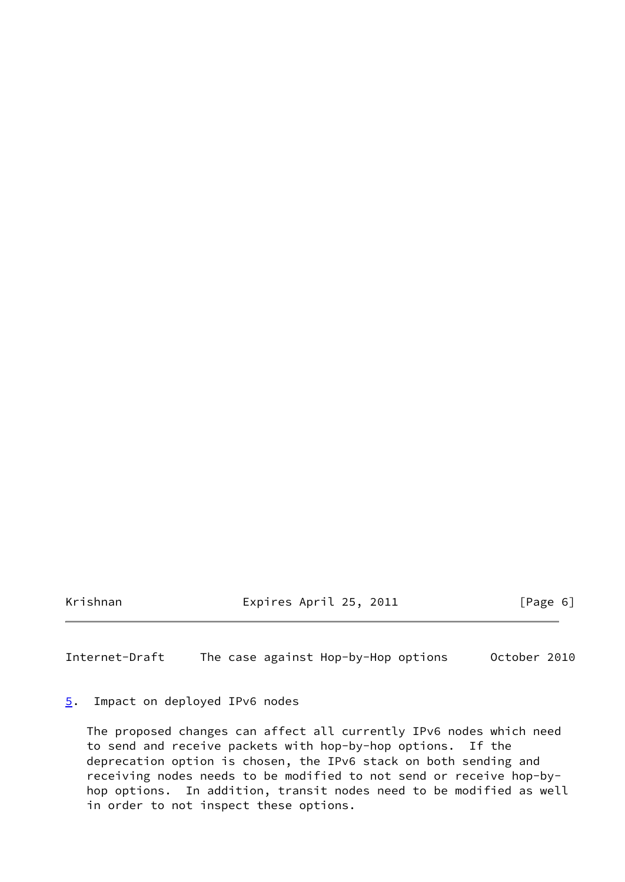Krishnan Expires April 25, 2011 [Page 6]

<span id="page-6-1"></span>Internet-Draft The case against Hop-by-Hop options October 2010

## <span id="page-6-0"></span>[5](#page-6-0). Impact on deployed IPv6 nodes

 The proposed changes can affect all currently IPv6 nodes which need to send and receive packets with hop-by-hop options. If the deprecation option is chosen, the IPv6 stack on both sending and receiving nodes needs to be modified to not send or receive hop-by hop options. In addition, transit nodes need to be modified as well in order to not inspect these options.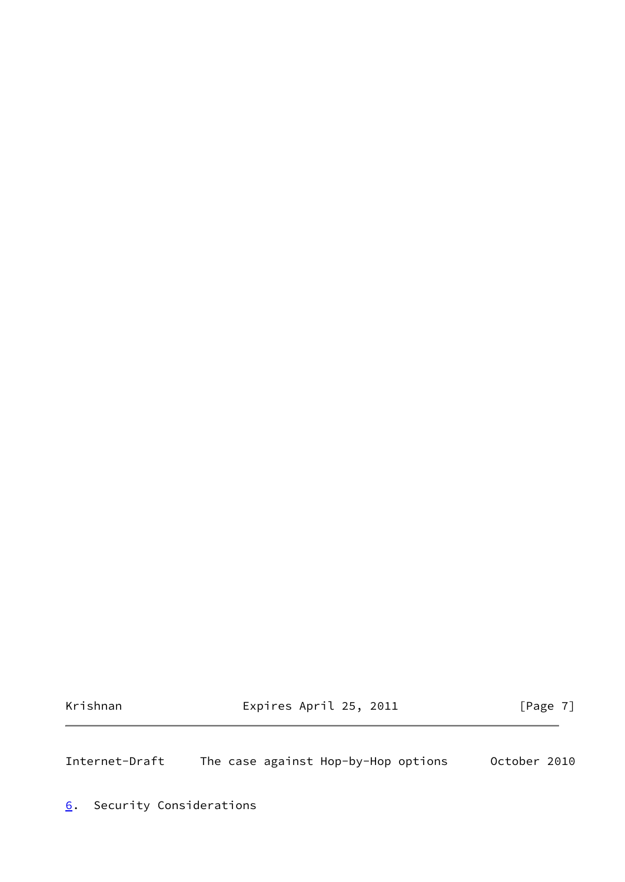Krishnan Expires April 25, 2011 [Page 7]

<span id="page-7-1"></span>Internet-Draft The case against Hop-by-Hop options October 2010

<span id="page-7-0"></span>[6](#page-7-0). Security Considerations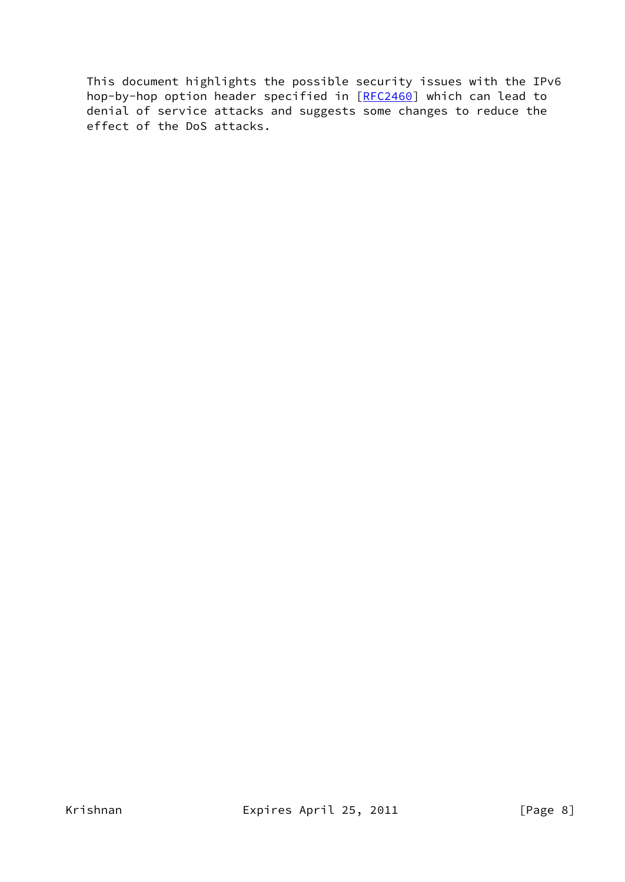This document highlights the possible security issues with the IPv6 hop-by-hop option header specified in [[RFC2460](https://datatracker.ietf.org/doc/pdf/rfc2460)] which can lead to denial of service attacks and suggests some changes to reduce the effect of the DoS attacks.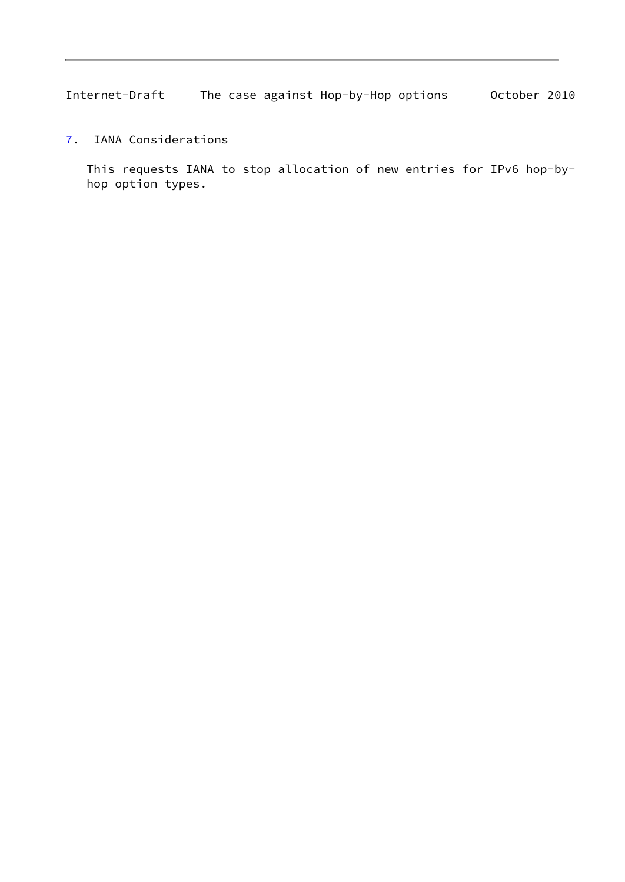<span id="page-9-1"></span>Internet-Draft The case against Hop-by-Hop options October 2010

<span id="page-9-0"></span>[7](#page-9-0). IANA Considerations

 This requests IANA to stop allocation of new entries for IPv6 hop-by hop option types.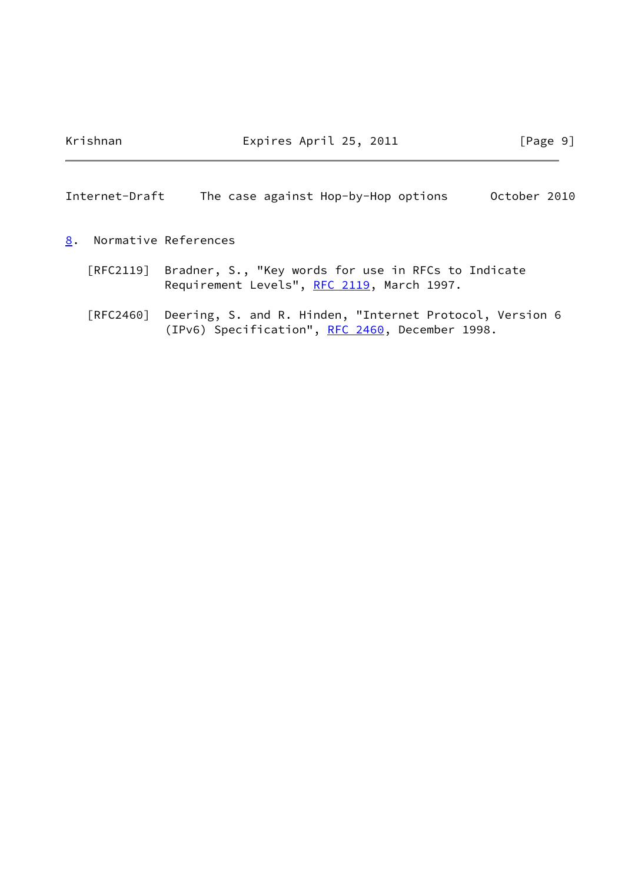Krishnan Expires April 25, 2011 [Page 9]

<span id="page-10-1"></span>Internet-Draft The case against Hop-by-Hop options October 2010

- <span id="page-10-0"></span>[8](#page-10-0). Normative References
	- [RFC2119] Bradner, S., "Key words for use in RFCs to Indicate Requirement Levels", [RFC 2119](https://datatracker.ietf.org/doc/pdf/rfc2119), March 1997.
	- [RFC2460] Deering, S. and R. Hinden, "Internet Protocol, Version 6 (IPv6) Specification", [RFC 2460](https://datatracker.ietf.org/doc/pdf/rfc2460), December 1998.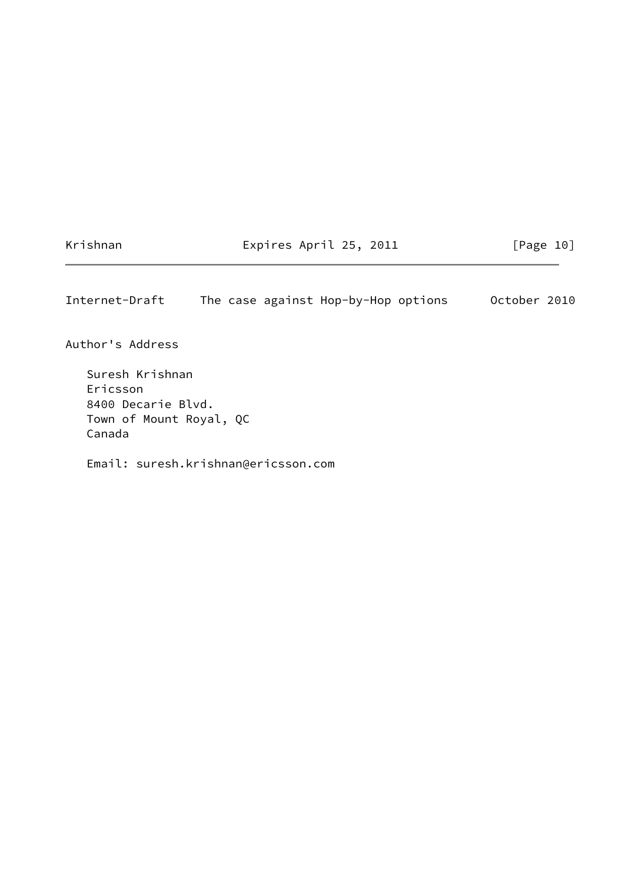Krishnan Expires April 25, 2011 [Page 10]

<span id="page-11-0"></span>Internet-Draft The case against Hop-by-Hop options October 2010

Author's Address

 Suresh Krishnan Ericsson 8400 Decarie Blvd. Town of Mount Royal, QC Canada

Email: suresh.krishnan@ericsson.com